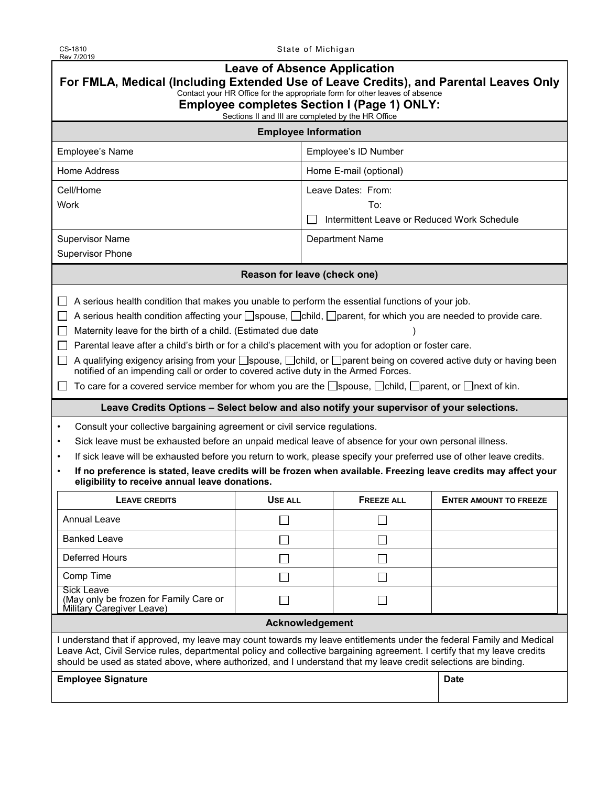State of Michigan

| <b>Leave of Absence Application</b><br>For FMLA, Medical (Including Extended Use of Leave Credits), and Parental Leaves Only<br>Contact your HR Office for the appropriate form for other leaves of absence                                                                                                                                                                                                                                                                                                                                                                                                                                                                                                                                                                                                                                                                                                                                                                                                                                                                                                                                                                                                                                                                                                                                                                |                                             |                        |                               |  |  |  |
|----------------------------------------------------------------------------------------------------------------------------------------------------------------------------------------------------------------------------------------------------------------------------------------------------------------------------------------------------------------------------------------------------------------------------------------------------------------------------------------------------------------------------------------------------------------------------------------------------------------------------------------------------------------------------------------------------------------------------------------------------------------------------------------------------------------------------------------------------------------------------------------------------------------------------------------------------------------------------------------------------------------------------------------------------------------------------------------------------------------------------------------------------------------------------------------------------------------------------------------------------------------------------------------------------------------------------------------------------------------------------|---------------------------------------------|------------------------|-------------------------------|--|--|--|
| <b>Employee completes Section I (Page 1) ONLY:</b><br>Sections II and III are completed by the HR Office                                                                                                                                                                                                                                                                                                                                                                                                                                                                                                                                                                                                                                                                                                                                                                                                                                                                                                                                                                                                                                                                                                                                                                                                                                                                   |                                             |                        |                               |  |  |  |
| <b>Employee Information</b>                                                                                                                                                                                                                                                                                                                                                                                                                                                                                                                                                                                                                                                                                                                                                                                                                                                                                                                                                                                                                                                                                                                                                                                                                                                                                                                                                |                                             |                        |                               |  |  |  |
| Employee's Name                                                                                                                                                                                                                                                                                                                                                                                                                                                                                                                                                                                                                                                                                                                                                                                                                                                                                                                                                                                                                                                                                                                                                                                                                                                                                                                                                            |                                             | Employee's ID Number   |                               |  |  |  |
| Home Address                                                                                                                                                                                                                                                                                                                                                                                                                                                                                                                                                                                                                                                                                                                                                                                                                                                                                                                                                                                                                                                                                                                                                                                                                                                                                                                                                               |                                             | Home E-mail (optional) |                               |  |  |  |
| Cell/Home                                                                                                                                                                                                                                                                                                                                                                                                                                                                                                                                                                                                                                                                                                                                                                                                                                                                                                                                                                                                                                                                                                                                                                                                                                                                                                                                                                  |                                             | Leave Dates: From:     |                               |  |  |  |
| Work                                                                                                                                                                                                                                                                                                                                                                                                                                                                                                                                                                                                                                                                                                                                                                                                                                                                                                                                                                                                                                                                                                                                                                                                                                                                                                                                                                       |                                             | To:                    |                               |  |  |  |
|                                                                                                                                                                                                                                                                                                                                                                                                                                                                                                                                                                                                                                                                                                                                                                                                                                                                                                                                                                                                                                                                                                                                                                                                                                                                                                                                                                            | Intermittent Leave or Reduced Work Schedule |                        |                               |  |  |  |
| <b>Supervisor Name</b>                                                                                                                                                                                                                                                                                                                                                                                                                                                                                                                                                                                                                                                                                                                                                                                                                                                                                                                                                                                                                                                                                                                                                                                                                                                                                                                                                     |                                             | Department Name        |                               |  |  |  |
| <b>Supervisor Phone</b>                                                                                                                                                                                                                                                                                                                                                                                                                                                                                                                                                                                                                                                                                                                                                                                                                                                                                                                                                                                                                                                                                                                                                                                                                                                                                                                                                    |                                             |                        |                               |  |  |  |
| Reason for leave (check one)                                                                                                                                                                                                                                                                                                                                                                                                                                                                                                                                                                                                                                                                                                                                                                                                                                                                                                                                                                                                                                                                                                                                                                                                                                                                                                                                               |                                             |                        |                               |  |  |  |
| A serious health condition that makes you unable to perform the essential functions of your job.<br>A serious health condition affecting your space, child, sparent, for which you are needed to provide care.<br>Maternity leave for the birth of a child. (Estimated due date<br>Parental leave after a child's birth or for a child's placement with you for adoption or foster care.<br>□ A qualifying exigency arising from your □ spouse, □ child, or □ parent being on covered active duty or having been<br>notified of an impending call or order to covered active duty in the Armed Forces.<br>To care for a covered service member for whom you are the $\Box$ spouse, $\Box$ child, $\Box$ parent, or $\Box$ next of kin.<br>Leave Credits Options - Select below and also notify your supervisor of your selections.<br>Consult your collective bargaining agreement or civil service regulations.<br>$\bullet$<br>Sick leave must be exhausted before an unpaid medical leave of absence for your own personal illness.<br>$\bullet$<br>If sick leave will be exhausted before you return to work, please specify your preferred use of other leave credits.<br>$\bullet$<br>If no preference is stated, leave credits will be frozen when available. Freezing leave credits may affect your<br>$\bullet$<br>eligibility to receive annual leave donations. |                                             |                        |                               |  |  |  |
| <b>LEAVE CREDITS</b>                                                                                                                                                                                                                                                                                                                                                                                                                                                                                                                                                                                                                                                                                                                                                                                                                                                                                                                                                                                                                                                                                                                                                                                                                                                                                                                                                       | USE ALL                                     | <b>FREEZE ALL</b>      | <b>ENTER AMOUNT TO FREEZE</b> |  |  |  |
| <b>Annual Leave</b>                                                                                                                                                                                                                                                                                                                                                                                                                                                                                                                                                                                                                                                                                                                                                                                                                                                                                                                                                                                                                                                                                                                                                                                                                                                                                                                                                        |                                             | ×                      |                               |  |  |  |
| <b>Banked Leave</b>                                                                                                                                                                                                                                                                                                                                                                                                                                                                                                                                                                                                                                                                                                                                                                                                                                                                                                                                                                                                                                                                                                                                                                                                                                                                                                                                                        |                                             |                        |                               |  |  |  |
| <b>Deferred Hours</b>                                                                                                                                                                                                                                                                                                                                                                                                                                                                                                                                                                                                                                                                                                                                                                                                                                                                                                                                                                                                                                                                                                                                                                                                                                                                                                                                                      |                                             |                        |                               |  |  |  |
| Comp Time                                                                                                                                                                                                                                                                                                                                                                                                                                                                                                                                                                                                                                                                                                                                                                                                                                                                                                                                                                                                                                                                                                                                                                                                                                                                                                                                                                  |                                             |                        |                               |  |  |  |
| <b>Sick Leave</b><br>(May only be frozen for Family Care or<br>Military Caregiver Leave)                                                                                                                                                                                                                                                                                                                                                                                                                                                                                                                                                                                                                                                                                                                                                                                                                                                                                                                                                                                                                                                                                                                                                                                                                                                                                   |                                             |                        |                               |  |  |  |
|                                                                                                                                                                                                                                                                                                                                                                                                                                                                                                                                                                                                                                                                                                                                                                                                                                                                                                                                                                                                                                                                                                                                                                                                                                                                                                                                                                            | Acknowledgement                             |                        |                               |  |  |  |
| I understand that if approved, my leave may count towards my leave entitlements under the federal Family and Medical<br>Leave Act, Civil Service rules, departmental policy and collective bargaining agreement. I certify that my leave credits<br>should be used as stated above, where authorized, and I understand that my leave credit selections are binding.                                                                                                                                                                                                                                                                                                                                                                                                                                                                                                                                                                                                                                                                                                                                                                                                                                                                                                                                                                                                        |                                             |                        |                               |  |  |  |
| <b>Employee Signature</b>                                                                                                                                                                                                                                                                                                                                                                                                                                                                                                                                                                                                                                                                                                                                                                                                                                                                                                                                                                                                                                                                                                                                                                                                                                                                                                                                                  |                                             |                        | <b>Date</b>                   |  |  |  |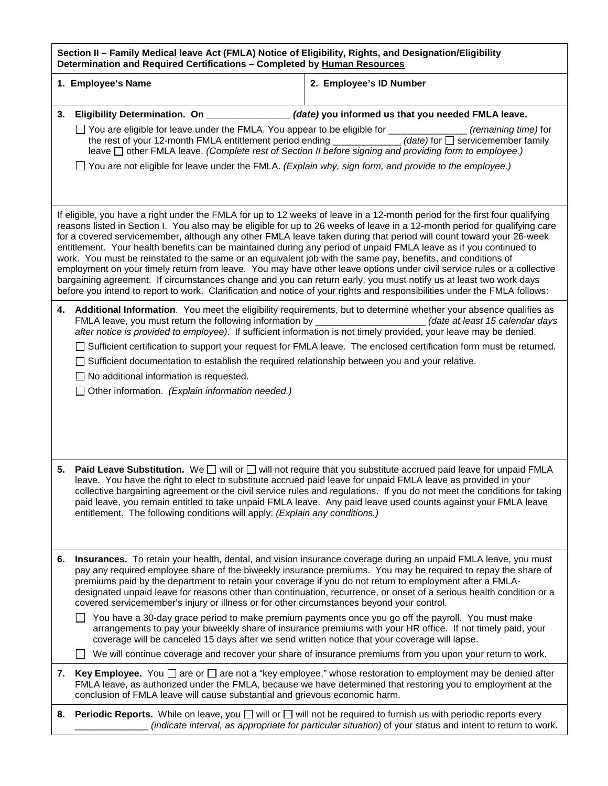| Section II - Family Medical leave Act (FMLA) Notice of Eligibility, Rights, and Designation/Eligibility<br>Determination and Required Certifications - Completed by Human Resources                                                                                                                                                                                                                                                                                                                                                                                                                                                                                                                                                                                                                                                                                                                                                                                                               |                                                                                                                                                                                                                                                                                                                                                                                                                                      |                                                                                                                                                                                                                                                                                                                                                                                                                                                                                      |  |  |  |  |
|---------------------------------------------------------------------------------------------------------------------------------------------------------------------------------------------------------------------------------------------------------------------------------------------------------------------------------------------------------------------------------------------------------------------------------------------------------------------------------------------------------------------------------------------------------------------------------------------------------------------------------------------------------------------------------------------------------------------------------------------------------------------------------------------------------------------------------------------------------------------------------------------------------------------------------------------------------------------------------------------------|--------------------------------------------------------------------------------------------------------------------------------------------------------------------------------------------------------------------------------------------------------------------------------------------------------------------------------------------------------------------------------------------------------------------------------------|--------------------------------------------------------------------------------------------------------------------------------------------------------------------------------------------------------------------------------------------------------------------------------------------------------------------------------------------------------------------------------------------------------------------------------------------------------------------------------------|--|--|--|--|
|                                                                                                                                                                                                                                                                                                                                                                                                                                                                                                                                                                                                                                                                                                                                                                                                                                                                                                                                                                                                   | 1. Employee's Name                                                                                                                                                                                                                                                                                                                                                                                                                   | 2. Employee's ID Number                                                                                                                                                                                                                                                                                                                                                                                                                                                              |  |  |  |  |
| 3.                                                                                                                                                                                                                                                                                                                                                                                                                                                                                                                                                                                                                                                                                                                                                                                                                                                                                                                                                                                                | Eligibility Determination. On _______________(date) you informed us that you needed FMLA leave.<br>□ You are eligible for leave under the FMLA. You appear to be eligible for _____________ (remaining time) for<br>the rest of your 12-month FMLA entitlement period ending ____________(date) for □ servicemember family<br>leave □ other FMLA leave. (Complete rest of Section II before signing and providing form to employee.) |                                                                                                                                                                                                                                                                                                                                                                                                                                                                                      |  |  |  |  |
|                                                                                                                                                                                                                                                                                                                                                                                                                                                                                                                                                                                                                                                                                                                                                                                                                                                                                                                                                                                                   | $\Box$ You are not eligible for leave under the FMLA. (Explain why, sign form, and provide to the employee.)                                                                                                                                                                                                                                                                                                                         |                                                                                                                                                                                                                                                                                                                                                                                                                                                                                      |  |  |  |  |
| If eligible, you have a right under the FMLA for up to 12 weeks of leave in a 12-month period for the first four qualifying<br>reasons listed in Section I. You also may be eligible for up to 26 weeks of leave in a 12-month period for qualifying care<br>for a covered servicemember, although any other FMLA leave taken during that period will count toward your 26-week<br>entitlement. Your health benefits can be maintained during any period of unpaid FMLA leave as if you continued to<br>work. You must be reinstated to the same or an equivalent job with the same pay, benefits, and conditions of<br>employment on your timely return from leave. You may have other leave options under civil service rules or a collective<br>bargaining agreement. If circumstances change and you can return early, you must notify us at least two work days<br>before you intend to report to work. Clarification and notice of your rights and responsibilities under the FMLA follows: |                                                                                                                                                                                                                                                                                                                                                                                                                                      |                                                                                                                                                                                                                                                                                                                                                                                                                                                                                      |  |  |  |  |
|                                                                                                                                                                                                                                                                                                                                                                                                                                                                                                                                                                                                                                                                                                                                                                                                                                                                                                                                                                                                   | □ Sufficient documentation to establish the required relationship between you and your relative.<br>$\Box$ No additional information is requested.<br>$\Box$ Other information. (Explain information needed.)                                                                                                                                                                                                                        | 4. Additional Information. You meet the eligibility requirements, but to determine whether your absence qualifies as<br>FMLA leave, you must return the following information by ______________________(date at least 15 calendar days<br>after notice is provided to employee). If sufficient information is not timely provided, your leave may be denied.<br>□ Sufficient certification to support your request for FMLA leave. The enclosed certification form must be returned. |  |  |  |  |
| 5.                                                                                                                                                                                                                                                                                                                                                                                                                                                                                                                                                                                                                                                                                                                                                                                                                                                                                                                                                                                                | leave. You have the right to elect to substitute accrued paid leave for unpaid FMLA leave as provided in your<br>entitlement. The following conditions will apply: (Explain any conditions.)                                                                                                                                                                                                                                         | <b>Paid Leave Substitution.</b> We $\square$ will or $\square$ will not require that you substitute accrued paid leave for unpaid FMLA<br>collective bargaining agreement or the civil service rules and regulations. If you do not meet the conditions for taking<br>paid leave, you remain entitled to take unpaid FMLA leave. Any paid leave used counts against your FMLA leave                                                                                                  |  |  |  |  |
| 6.                                                                                                                                                                                                                                                                                                                                                                                                                                                                                                                                                                                                                                                                                                                                                                                                                                                                                                                                                                                                | premiums paid by the department to retain your coverage if you do not return to employment after a FMLA-<br>covered servicemember's injury or illness or for other circumstances beyond your control.                                                                                                                                                                                                                                | Insurances. To retain your health, dental, and vision insurance coverage during an unpaid FMLA leave, you must<br>pay any required employee share of the biweekly insurance premiums. You may be required to repay the share of<br>designated unpaid leave for reasons other than continuation, recurrence, or onset of a serious health condition or a                                                                                                                              |  |  |  |  |
|                                                                                                                                                                                                                                                                                                                                                                                                                                                                                                                                                                                                                                                                                                                                                                                                                                                                                                                                                                                                   | coverage will be canceled 15 days after we send written notice that your coverage will lapse.                                                                                                                                                                                                                                                                                                                                        | You have a 30-day grace period to make premium payments once you go off the payroll. You must make<br>arrangements to pay your biweekly share of insurance premiums with your HR office. If not timely paid, your                                                                                                                                                                                                                                                                    |  |  |  |  |
| 7.                                                                                                                                                                                                                                                                                                                                                                                                                                                                                                                                                                                                                                                                                                                                                                                                                                                                                                                                                                                                | conclusion of FMLA leave will cause substantial and grievous economic harm.                                                                                                                                                                                                                                                                                                                                                          | We will continue coverage and recover your share of insurance premiums from you upon your return to work.<br><b>Key Employee.</b> You $\Box$ are or $\Box$ are not a "key employee," whose restoration to employment may be denied after<br>FMLA leave, as authorized under the FMLA, because we have determined that restoring you to employment at the                                                                                                                             |  |  |  |  |
| 8.                                                                                                                                                                                                                                                                                                                                                                                                                                                                                                                                                                                                                                                                                                                                                                                                                                                                                                                                                                                                |                                                                                                                                                                                                                                                                                                                                                                                                                                      | <b>Periodic Reports.</b> While on leave, you $\Box$ will or $\Box$ will not be required to furnish us with periodic reports every<br>(indicate interval, as appropriate for particular situation) of your status and intent to return to work.                                                                                                                                                                                                                                       |  |  |  |  |